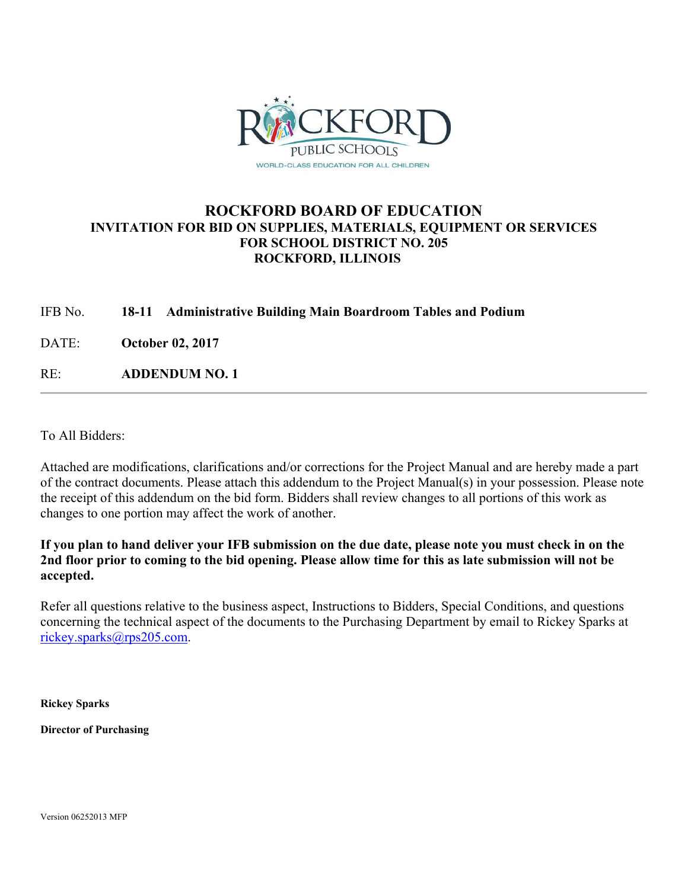

# **ROCKFORD BOARD OF EDUCATION INVITATION FOR BID ON SUPPLIES, MATERIALS, EQUIPMENT OR SERVICES FOR SCHOOL DISTRICT NO. 205 ROCKFORD, ILLINOIS**

## IFB No. **18-11 Administrative Building Main Boardroom Tables and Podium**

DATE: **October 02, 2017**

RE: **ADDENDUM NO. 1**

To All Bidders:

Attached are modifications, clarifications and/or corrections for the Project Manual and are hereby made a part of the contract documents. Please attach this addendum to the Project Manual(s) in your possession. Please note the receipt of this addendum on the bid form. Bidders shall review changes to all portions of this work as changes to one portion may affect the work of another.

**If you plan to hand deliver your IFB submission on the due date, please note you must check in on the 2nd floor prior to coming to the bid opening. Please allow time for this as late submission will not be accepted.** 

Refer all questions relative to the business aspect, Instructions to Bidders, Special Conditions, and questions concerning the technical aspect of the documents to the Purchasing Department by email to Rickey Sparks at rickey.sparks@rps205.com.

**Rickey Sparks** 

**Director of Purchasing** 

Version 06252013 MFP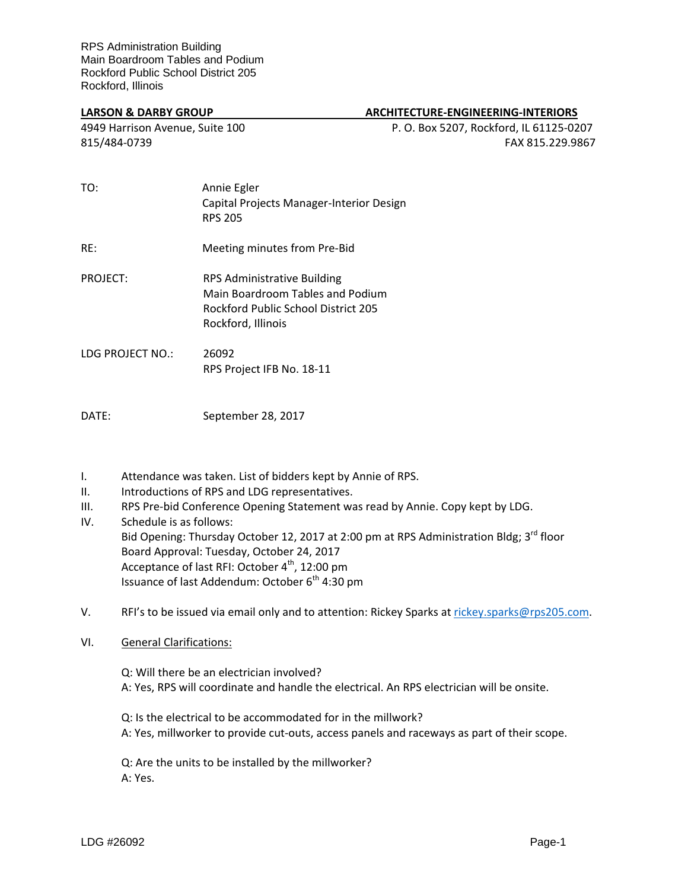#### **LARSON & DARBY GROUP ARCHITECTURE-ENGINEERING-INTERIORS**

4949 Harrison Avenue, Suite 100 P. O. Box 5207, Rockford, IL 61125-0207 815/484-0739 FAX 815.229.9867

| TO:                                                    | Annie Egler<br>Capital Projects Manager-Interior Design<br><b>RPS 205</b>                                                           |
|--------------------------------------------------------|-------------------------------------------------------------------------------------------------------------------------------------|
| RF:                                                    | Meeting minutes from Pre-Bid                                                                                                        |
| PROJECT:                                               | <b>RPS Administrative Building</b><br>Main Boardroom Tables and Podium<br>Rockford Public School District 205<br>Rockford, Illinois |
| $I \cap C$ $I \cap C$ $I \cap C$ $I \cap C$ $I \cap C$ | ากกกา                                                                                                                               |

LDG PROJECT NO.: 26092 RPS Project IFB No. 18-11

DATE: September 28, 2017

- I. Attendance was taken. List of bidders kept by Annie of RPS.
- II. Introductions of RPS and LDG representatives.
- III. RPS Pre-bid Conference Opening Statement was read by Annie. Copy kept by LDG.
- IV. Schedule is as follows: Bid Opening: Thursday October 12, 2017 at 2:00 pm at RPS Administration Bldg; 3<sup>rd</sup> floor Board Approval: Tuesday, October 24, 2017 Acceptance of last RFI: October 4<sup>th</sup>, 12:00 pm Issuance of last Addendum: October 6<sup>th</sup> 4:30 pm
- V. RFI's to be issued via email only and to attention: Rickey Sparks at [rickey.sparks@rps205.com.](mailto:rickey.sparks@rps205.com)

### VI. General Clarifications:

- Q: Will there be an electrician involved? A: Yes, RPS will coordinate and handle the electrical. An RPS electrician will be onsite.
- Q: Is the electrical to be accommodated for in the millwork? A: Yes, millworker to provide cut-outs, access panels and raceways as part of their scope.

Q: Are the units to be installed by the millworker? A: Yes.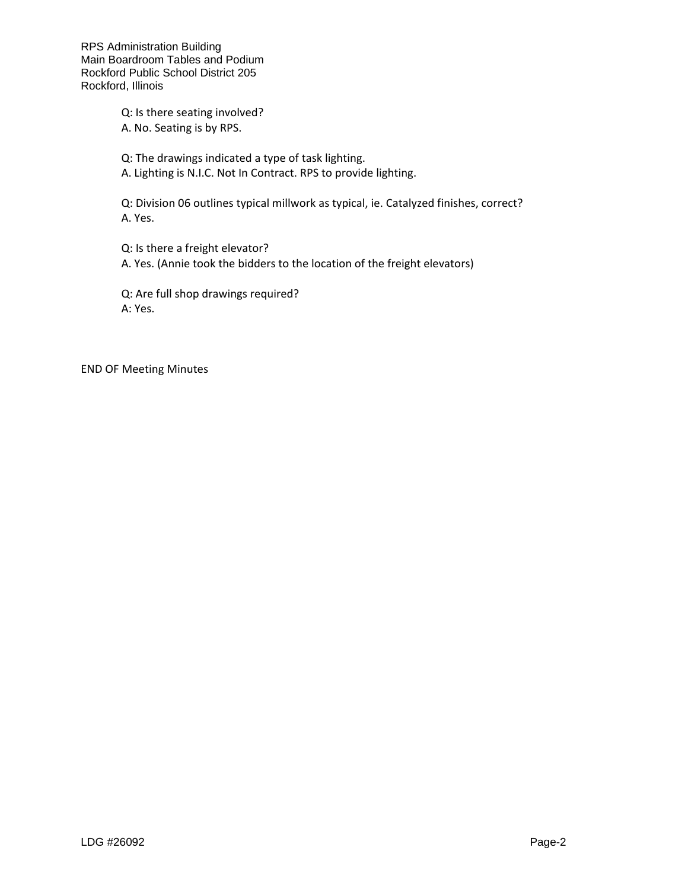RPS Administration Building Main Boardroom Tables and Podium Rockford Public School District 205 Rockford, Illinois

> Q: Is there seating involved? A. No. Seating is by RPS.

Q: The drawings indicated a type of task lighting.

A. Lighting is N.I.C. Not In Contract. RPS to provide lighting.

Q: Division 06 outlines typical millwork as typical, ie. Catalyzed finishes, correct? A. Yes.

Q: Is there a freight elevator? A. Yes. (Annie took the bidders to the location of the freight elevators)

Q: Are full shop drawings required? A: Yes.

END OF Meeting Minutes